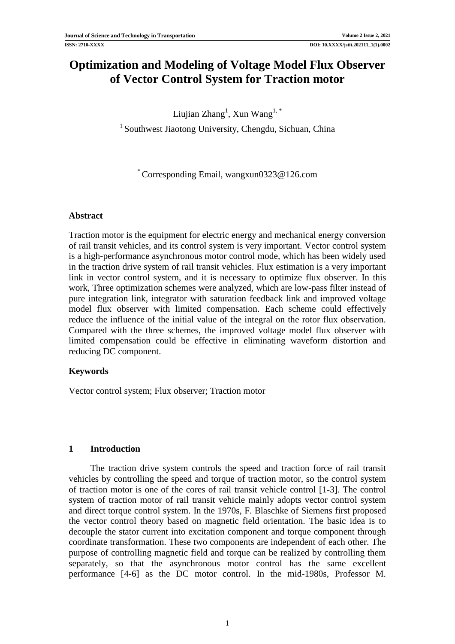# **Optimization and Modeling of Voltage Model Flux Observer of Vector Control System for Traction motor**

Liujian Zhang $^1$ , Xun Wang $^{1,\, *}$ 

 $1$ Southwest Jiaotong University, Chengdu, Sichuan, China

\* Corresponding Email, wangxun0323@126.com

# **Abstract**

Traction motor is the equipment for electric energy and mechanical energy conversion of rail transit vehicles, and its control system is very important. Vector control system is a high-performance asynchronous motor control mode, which has been widely used in the traction drive system of rail transit vehicles. Flux estimation is a very important link in vector control system, and it is necessary to optimize flux observer. In this work, Three optimization schemes were analyzed, which are low-pass filter instead of pure integration link, integrator with saturation feedback link and improved voltage model flux observer with limited compensation. Each scheme could effectively reduce the influence of the initial value of the integral on the rotor flux observation. Compared with the three schemes, the improved voltage model flux observer with limited compensation could be effective in eliminating waveform distortion and reducing DC component.

# **Keywords**

Vector control system; Flux observer; Traction motor

# **1 Introduction**

The traction drive system controls the speed and traction force of rail transit vehicles by controlling the speed and torque of traction motor, so the control system of traction motor is one of the cores of rail transit vehicle control [\[1-3\]](#page-8-0). The control system of traction motor of rail transit vehicle mainly adopts vector control system and direct torque control system. In the 1970s, F. Blaschke of Siemens first proposed the vector control theory based on magnetic field orientation. The basic idea is to decouple the stator current into excitation component and torque component through coordinate transformation. These two components are independent of each other. The purpose of controlling magnetic field and torque can be realized by controlling them separately, so that the asynchronous motor control has the same excellent performance [\[4-6\]](#page-8-1) as the DC motor control. In the mid-1980s, Professor M.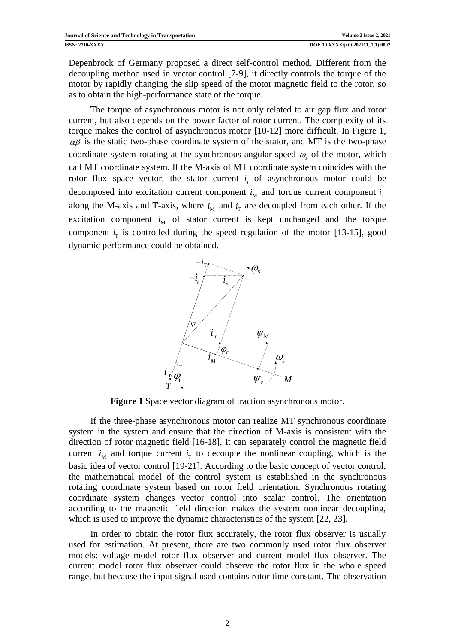Depenbrock of Germany proposed a direct self-control method. Different from the decoupling method used in vector control [\[7-9\]](#page-8-2), it directly controls the torque of the motor by rapidly changing the slip speed of the motor magnetic field to the rotor, so as to obtain the high-performance state of the torque.

The torque of asynchronous motor is not only related to air gap flux and rotor current, but also depends on the power factor of rotor current. The complexity of its torque makes the control of asynchronous motor [\[10-12\]](#page-8-3) more difficult. In Figure 1,  $\alpha\beta$  is the static two-phase coordinate system of the stator, and MT is the two-phase coordinate system rotating at the synchronous angular speed  $\omega_{\rm s}$  of the motor, which call MT coordinate system. If the M-axis of MT coordinate system coincides with the rotor flux space vector, the stator current  $i<sub>s</sub>$  of asynchronous motor could be decomposed into excitation current component  $i_M$  and torque current component  $i_T$ along the M-axis and T-axis, where  $i_M$  and  $i_T$  are decoupled from each other. If the excitation component  $i_M$  of stator current is kept unchanged and the torque component  $i_{\text{t}}$  is controlled during the speed regulation of the motor [\[13-15\]](#page-9-0), good dynamic performance could be obtained.



**Figure 1** Space vector diagram of traction asynchronous motor.

If the three-phase asynchronous motor can realize MT synchronous coordinate system in the system and ensure that the direction of M-axis is consistent with the direction of rotor magnetic field [\[16-18\]](#page-9-1). It can separately control the magnetic field current  $i_M$  and torque current  $i_T$  to decouple the nonlinear coupling, which is the basic idea of vector control [\[19-21\]](#page-9-2). According to the basic concept of vector control, the mathematical model of the control system is established in the synchronous rotating coordinate system based on rotor field orientation. Synchronous rotating coordinate system changes vector control into scalar control. The orientation according to the magnetic field direction makes the system nonlinear decoupling, which is used to improve the dynamic characteristics of the system [\[22,](#page-9-3) [23\]](#page-9-4).

In order to obtain the rotor flux accurately, the rotor flux observer is usually used for estimation. At present, there are two commonly used rotor flux observer models: voltage model rotor flux observer and current model flux observer. The current model rotor flux observer could observe the rotor flux in the whole speed range, but because the input signal used contains rotor time constant. The observation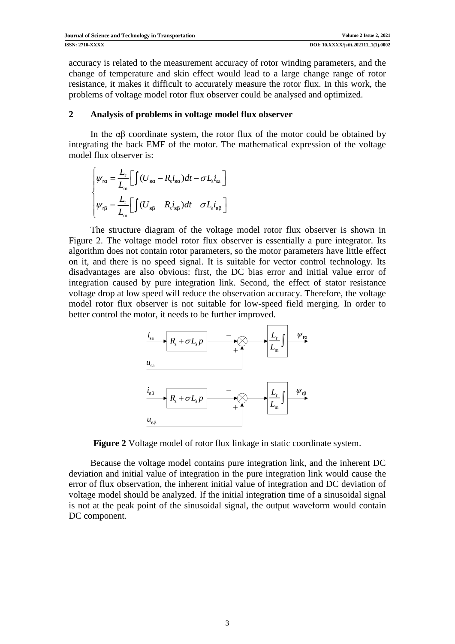accuracy is related to the measurement accuracy of rotor winding parameters, and the change of temperature and skin effect would lead to a large change range of rotor resistance, it makes it difficult to accurately measure the rotor flux. In this work, the problems of voltage model rotor flux observer could be analysed and optimized.

#### **2 Analysis of problems in voltage model flux observer**

In the αβ coordinate system, the rotor flux of the motor could be obtained by integrating the back EMF of the motor. The mathematical expression of the voltage model flux observer is:

$$
\begin{cases} \n\psi_{\text{ra}} = \frac{L_{\text{r}}}{L_{\text{m}}} \bigg[ \int (U_{\text{sa}} - R_{\text{s}} i_{\text{sa}}) dt - \sigma L_{\text{s}} i_{\text{sa}} \bigg] \\ \n\psi_{\text{r}\beta} = \frac{L_{\text{r}}}{L_{\text{m}}} \bigg[ \int (U_{\text{s}\beta} - R_{\text{s}} i_{\text{s}\beta}) dt - \sigma L_{\text{s}} i_{\text{s}\beta} \bigg] \n\end{cases}
$$

The structure diagram of the voltage model rotor flux observer is shown in Figure 2. The voltage model rotor flux observer is essentially a pure integrator. Its algorithm does not contain rotor parameters, so the motor parameters have little effect on it, and there is no speed signal. It is suitable for vector control technology. Its disadvantages are also obvious: first, the DC bias error and initial value error of integration caused by pure integration link. Second, the effect of stator resistance voltage drop at low speed will reduce the observation accuracy. Therefore, the voltage model rotor flux observer is not suitable for low-speed field merging. In order to better control the motor, it needs to be further improved.



**Figure 2** Voltage model of rotor flux linkage in static coordinate system.

Because the voltage model contains pure integration link, and the inherent DC deviation and initial value of integration in the pure integration link would cause the error of flux observation, the inherent initial value of integration and DC deviation of voltage model should be analyzed. If the initial integration time of a sinusoidal signal is not at the peak point of the sinusoidal signal, the output waveform would contain DC component.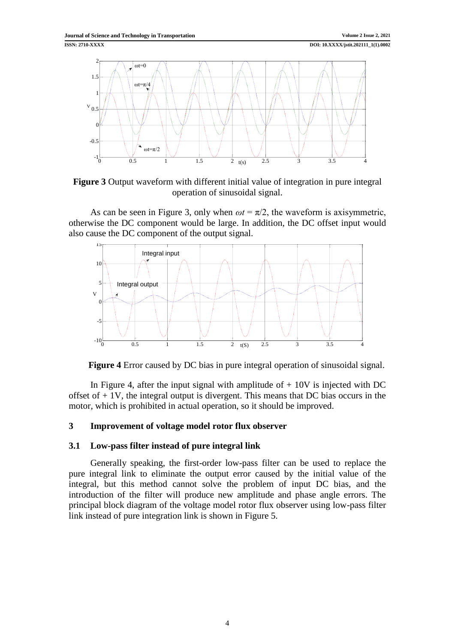

**Figure 3** Output waveform with different initial value of integration in pure integral operation of sinusoidal signal.

As can be seen in Figure 3, only when  $\omega t = \pi/2$ , the waveform is axisymmetric, otherwise the DC component would be large. In addition, the DC offset input would also cause the DC component of the output signal.



**Figure 4** Error caused by DC bias in pure integral operation of sinusoidal signal.

In Figure 4, after the input signal with amplitude of  $+10V$  is injected with DC offset of  $+1V$ , the integral output is divergent. This means that DC bias occurs in the motor, which is prohibited in actual operation, so it should be improved.

## **3 Improvement of voltage model rotor flux observer**

## **3.1 Low-pass filter instead of pure integral link**

Generally speaking, the first-order low-pass filter can be used to replace the pure integral link to eliminate the output error caused by the initial value of the integral, but this method cannot solve the problem of input DC bias, and the introduction of the filter will produce new amplitude and phase angle errors. The principal block diagram of the voltage model rotor flux observer using low-pass filter link instead of pure integration link is shown in Figure 5.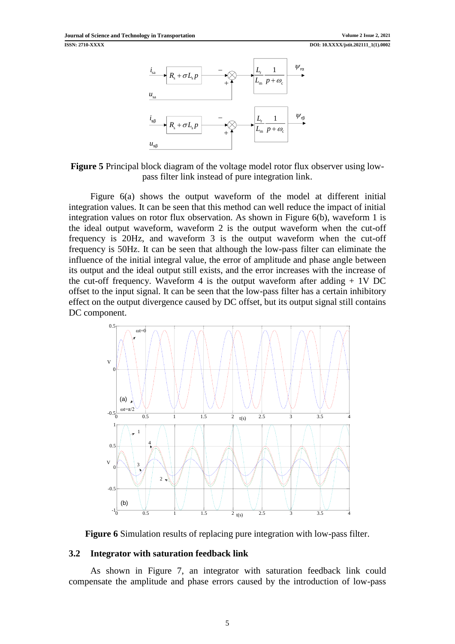

**Figure 5** Principal block diagram of the voltage model rotor flux observer using lowpass filter link instead of pure integration link.

Figure 6(a) shows the output waveform of the model at different initial integration values. It can be seen that this method can well reduce the impact of initial integration values on rotor flux observation. As shown in Figure 6(b), waveform 1 is the ideal output waveform, waveform 2 is the output waveform when the cut-off frequency is 20Hz, and waveform 3 is the output waveform when the cut-off frequency is 50Hz. It can be seen that although the low-pass filter can eliminate the influence of the initial integral value, the error of amplitude and phase angle between its output and the ideal output still exists, and the error increases with the increase of the cut-off frequency. Waveform 4 is the output waveform after adding  $+ 1V$  DC offset to the input signal. It can be seen that the low-pass filter has a certain inhibitory effect on the output divergence caused by DC offset, but its output signal still contains DC component.



**Figure 6** Simulation results of replacing pure integration with low-pass filter.

## **3.2 Integrator with saturation feedback link**

As shown in Figure 7, an integrator with saturation feedback link could compensate the amplitude and phase errors caused by the introduction of low-pass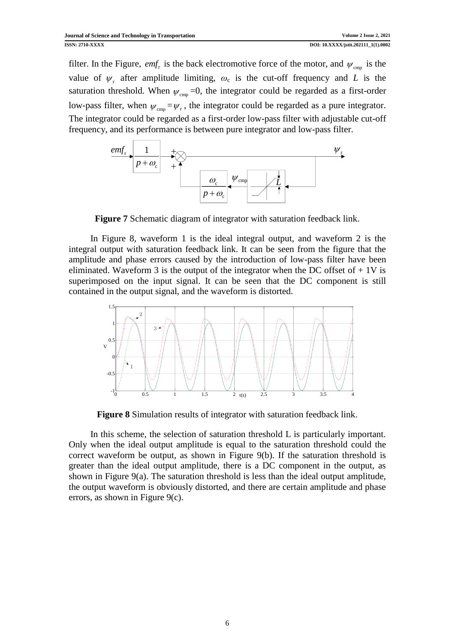filter. In the Figure, *emf<sub>r</sub>* is the back electromotive force of the motor, and  $\psi_{\text{cmp}}$  is the value of  $\psi_r$  after amplitude limiting,  $\omega_c$  is the cut-off frequency and *L* is the saturation threshold. When  $\psi_{\text{cmp}}=0$ , the integrator could be regarded as a first-order low-pass filter, when  $\psi_{\text{cmp}} = \psi_{\text{r}}$ , the integrator could be regarded as a pure integrator. The integrator could be regarded as a first-order low-pass filter with adjustable cut-off frequency, and its performance is between pure integrator and low-pass filter.



**Figure 7** Schematic diagram of integrator with saturation feedback link.

In Figure 8, waveform 1 is the ideal integral output, and waveform 2 is the integral output with saturation feedback link. It can be seen from the figure that the amplitude and phase errors caused by the introduction of low-pass filter have been eliminated. Waveform 3 is the output of the integrator when the DC offset of  $+1V$  is superimposed on the input signal. It can be seen that the DC component is still contained in the output signal, and the waveform is distorted.



**Figure 8** Simulation results of integrator with saturation feedback link.

In this scheme, the selection of saturation threshold L is particularly important. Only when the ideal output amplitude is equal to the saturation threshold could the correct waveform be output, as shown in Figure 9(b). If the saturation threshold is greater than the ideal output amplitude, there is a DC component in the output, as shown in Figure 9(a). The saturation threshold is less than the ideal output amplitude, the output waveform is obviously distorted, and there are certain amplitude and phase errors, as shown in Figure 9(c).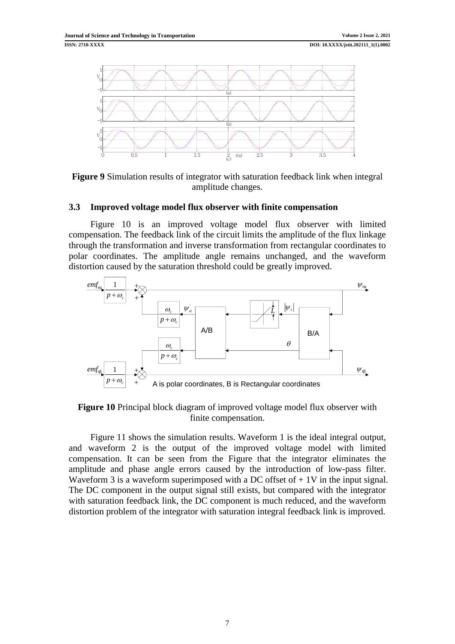

**Figure 9** Simulation results of integrator with saturation feedback link when integral amplitude changes.

#### **3.3 Improved voltage model flux observer with finite compensation**

Figure 10 is an improved voltage model flux observer with limited compensation. The feedback link of the circuit limits the amplitude of the flux linkage through the transformation and inverse transformation from rectangular coordinates to polar coordinates. The amplitude angle remains unchanged, and the waveform distortion caused by the saturation threshold could be greatly improved.



**Figure 10** Principal block diagram of improved voltage model flux observer with finite compensation.

Figure 11 shows the simulation results. Waveform 1 is the ideal integral output, and waveform 2 is the output of the improved voltage model with limited compensation. It can be seen from the Figure that the integrator eliminates the amplitude and phase angle errors caused by the introduction of low-pass filter. Waveform 3 is a waveform superimposed with a DC offset of  $+1V$  in the input signal. The DC component in the output signal still exists, but compared with the integrator with saturation feedback link, the DC component is much reduced, and the waveform distortion problem of the integrator with saturation integral feedback link is improved.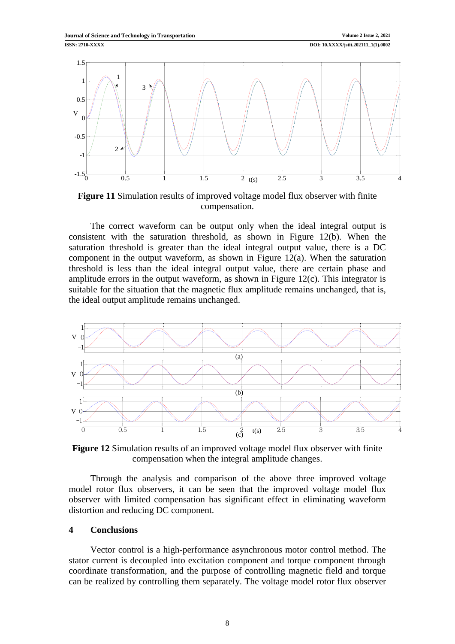

**Figure 11** Simulation results of improved voltage model flux observer with finite compensation.

The correct waveform can be output only when the ideal integral output is consistent with the saturation threshold, as shown in Figure 12(b). When the saturation threshold is greater than the ideal integral output value, there is a DC component in the output waveform, as shown in Figure 12(a). When the saturation threshold is less than the ideal integral output value, there are certain phase and amplitude errors in the output waveform, as shown in Figure 12(c). This integrator is suitable for the situation that the magnetic flux amplitude remains unchanged, that is, the ideal output amplitude remains unchanged.



**Figure 12** Simulation results of an improved voltage model flux observer with finite compensation when the integral amplitude changes.

Through the analysis and comparison of the above three improved voltage model rotor flux observers, it can be seen that the improved voltage model flux observer with limited compensation has significant effect in eliminating waveform distortion and reducing DC component.

## **4 Conclusions**

Vector control is a high-performance asynchronous motor control method. The stator current is decoupled into excitation component and torque component through coordinate transformation, and the purpose of controlling magnetic field and torque can be realized by controlling them separately. The voltage model rotor flux observer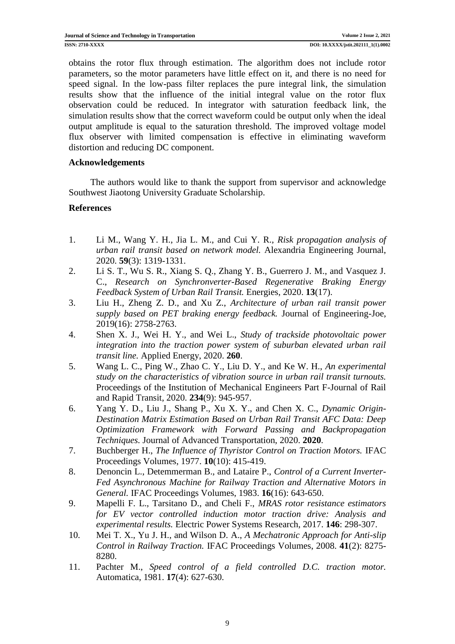obtains the rotor flux through estimation. The algorithm does not include rotor parameters, so the motor parameters have little effect on it, and there is no need for speed signal. In the low-pass filter replaces the pure integral link, the simulation results show that the influence of the initial integral value on the rotor flux observation could be reduced. In integrator with saturation feedback link, the simulation results show that the correct waveform could be output only when the ideal output amplitude is equal to the saturation threshold. The improved voltage model flux observer with limited compensation is effective in eliminating waveform distortion and reducing DC component.

## **Acknowledgements**

The authors would like to thank the support from supervisor and acknowledge Southwest Jiaotong University Graduate Scholarship.

## **References**

- <span id="page-8-0"></span>1. Li M., Wang Y. H., Jia L. M., and Cui Y. R., *Risk propagation analysis of urban rail transit based on network model.* Alexandria Engineering Journal, 2020. **59**(3): 1319-1331.
- 2. Li S. T., Wu S. R., Xiang S. Q., Zhang Y. B., Guerrero J. M., and Vasquez J. C., *Research on Synchronverter-Based Regenerative Braking Energy Feedback System of Urban Rail Transit.* Energies, 2020. **13**(17).
- 3. Liu H., Zheng Z. D., and Xu Z., *Architecture of urban rail transit power supply based on PET braking energy feedback.* Journal of Engineering-Joe, 2019(16): 2758-2763.
- <span id="page-8-1"></span>4. Shen X. J., Wei H. Y., and Wei L., *Study of trackside photovoltaic power integration into the traction power system of suburban elevated urban rail transit line.* Applied Energy, 2020. **260**.
- 5. Wang L. C., Ping W., Zhao C. Y., Liu D. Y., and Ke W. H., *An experimental study on the characteristics of vibration source in urban rail transit turnouts.* Proceedings of the Institution of Mechanical Engineers Part F-Journal of Rail and Rapid Transit, 2020. **234**(9): 945-957.
- 6. Yang Y. D., Liu J., Shang P., Xu X. Y., and Chen X. C., *Dynamic Origin-Destination Matrix Estimation Based on Urban Rail Transit AFC Data: Deep Optimization Framework with Forward Passing and Backpropagation Techniques.* Journal of Advanced Transportation, 2020. **2020**.
- <span id="page-8-2"></span>7. Buchberger H., *The Influence of Thyristor Control on Traction Motors.* IFAC Proceedings Volumes, 1977. **10**(10): 415-419.
- 8. Denoncin L., Detemmerman B., and Lataire P., *Control of a Current Inverter-Fed Asynchronous Machine for Railway Traction and Alternative Motors in General.* IFAC Proceedings Volumes, 1983. **16**(16): 643-650.
- 9. Mapelli F. L., Tarsitano D., and Cheli F., *MRAS rotor resistance estimators for EV vector controlled induction motor traction drive: Analysis and experimental results.* Electric Power Systems Research, 2017. **146**: 298-307.
- <span id="page-8-3"></span>10. Mei T. X., Yu J. H., and Wilson D. A., *A Mechatronic Approach for Anti-slip Control in Railway Traction.* IFAC Proceedings Volumes, 2008. **41**(2): 8275- 8280.
- 11. Pachter M., *Speed control of a field controlled D.C. traction motor.* Automatica, 1981. **17**(4): 627-630.